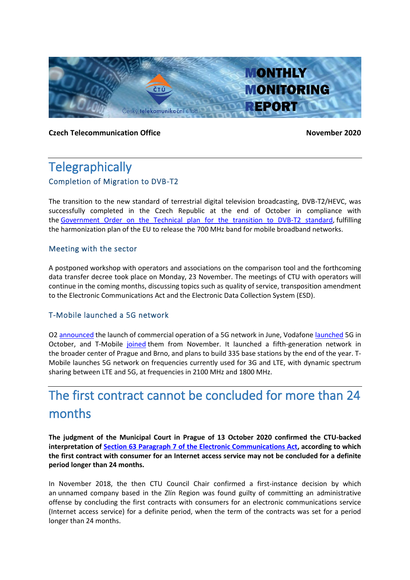

### **Czech Telecommunication Office November 2020**

# **Telegraphically** Completion of Migration to DVB-T2

The transition to the new standard of terrestrial digital television broadcasting, DVB-T2/HEVC, was successfully completed in the Czech Republic at the end of October in compliance with the [Government Order on the Technical plan for the transition to DVB-T2 standard,](https://www.zakonyprolidi.cz/cs/2018-199) fulfilling the harmonization plan of the EU to release the 700 MHz band for mobile broadband networks.

### Meeting with the sector

A postponed workshop with operators and associations on the comparison tool and the forthcoming data transfer decree took place on Monday, 23 November. The meetings of CTU with operators will continue in the coming months, discussing topics such as quality of service, transposition amendment to the Electronic Communications Act and the Electronic Data Collection System (ESD).

## T-Mobile launched a 5G network

O2 [announced](https://www.o2.cz/spolecnost/tiskove-centrum/679512-O2_jako_prvni_operator_spousti_komercni_provoz_siti_5G.html) the launch of commercial operation of a 5G network in June, Vodafon[e launched](https://www.vodafone.cz/o-vodafonu/o-spolecnosti/pro-media/tiskove-zpravy/detail/siti-5g-pokryje-vodafone-rovnou-5-mest-zakaznici-s/) 5G in October, and T-Mobile [joined](http://www.t-press.cz/cs/tiskove-materialy/tiskove-zpravy-t-mobile/t-mobile-spousti-5g-sit-a-do-konce-roku-pokryje-ctvrtinu-populace-prahy-a-brna.html) them from November. It launched a fifth-generation network in the broader center of Prague and Brno, and plans to build 335 base stations by the end of the year. T-Mobile launches 5G network on frequencies currently used for 3G and LTE, with dynamic spectrum sharing between LTE and 5G, at frequencies in 2100 MHz and 1800 MHz.

# The first contract cannot be concluded for more than 24 months

**The judgment of the Municipal Court in Prague of 13 October 2020 confirmed the CTU-backed interpretation of Section 63 Paragraph 7 [of the Electronic Communications Act,](https://www.zakonyprolidi.cz/cs/2005-127#p63-7) according to which the first contract with consumer for an Internet access service may not be concluded for a definite period longer than 24 months.**

In November 2018, the then CTU Council Chair confirmed a first-instance decision by which an unnamed company based in the Zlín Region was found guilty of committing an administrative offense by concluding the first contracts with consumers for an electronic communications service (Internet access service) for a definite period, when the term of the contracts was set for a period longer than 24 months.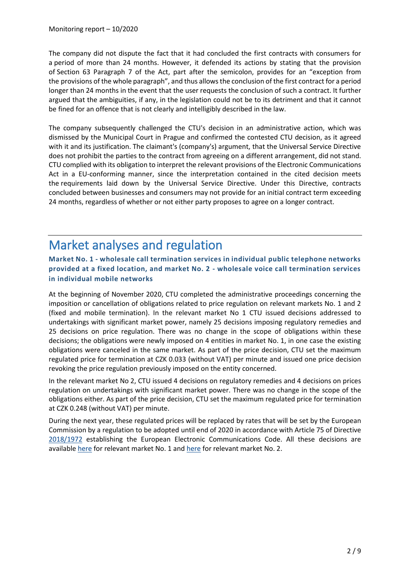The company did not dispute the fact that it had concluded the first contracts with consumers for a period of more than 24 months. However, it defended its actions by stating that the provision of Section 63 Paragraph 7 of the Act, part after the semicolon, provides for an "exception from the provisions of the whole paragraph", and thus allows the conclusion of the first contract for a period longer than 24 months in the event that the user requests the conclusion of such a contract. It further argued that the ambiguities, if any, in the legislation could not be to its detriment and that it cannot be fined for an offence that is not clearly and intelligibly described in the law.

The company subsequently challenged the CTU's decision in an administrative action, which was dismissed by the Municipal Court in Prague and confirmed the contested CTU decision, as it agreed with it and its justification. The claimant's (company's) argument, that the Universal Service Directive does not prohibit the parties to the contract from agreeing on a different arrangement, did not stand. CTU complied with its obligation to interpret the relevant provisions of the Electronic Communications Act in a EU-conforming manner, since the interpretation contained in the cited decision meets the requirements laid down by the Universal Service Directive. Under this Directive, contracts concluded between businesses and consumers may not provide for an initial contract term exceeding 24 months, regardless of whether or not either party proposes to agree on a longer contract.

# Market analyses and regulation

## **Market No. 1 - wholesale call termination services in individual public telephone networks provided at a fixed location, and market No. 2 - wholesale voice call termination services in individual mobile networks**

At the beginning of November 2020, CTU completed the administrative proceedings concerning the imposition or cancellation of obligations related to price regulation on relevant markets No. 1 and 2 (fixed and mobile termination). In the relevant market No 1 CTU issued decisions addressed to undertakings with significant market power, namely 25 decisions imposing regulatory remedies and 25 decisions on price regulation. There was no change in the scope of obligations within these decisions; the obligations were newly imposed on 4 entities in market No. 1, in one case the existing obligations were canceled in the same market. As part of the price decision, CTU set the maximum regulated price for termination at CZK 0.033 (without VAT) per minute and issued one price decision revoking the price regulation previously imposed on the entity concerned.

In the relevant market No 2, CTU issued 4 decisions on regulatory remedies and 4 decisions on prices regulation on undertakings with significant market power. There was no change in the scope of the obligations either. As part of the price decision, CTU set the maximum regulated price for termination at CZK 0.248 (without VAT) per minute.

During the next year, these regulated prices will be replaced by rates that will be set by the European Commission by a regulation to be adopted until end of 2020 in accordance with Article 75 of Directive [2018/1972](https://eur-lex.europa.eu/legal-content/EN/TXT/PDF/?uri=CELEX:32018L1972&from=EN) establishing the European Electronic Communications Code. All these decisions are available [here](https://www.ctu.cz/art-kolo-5/trh-1-fixni-terminace) for relevant market No. 1 and [here](https://www.ctu.cz/art-kolo-5/trh-2-mobilni-terminace) for relevant market No. 2.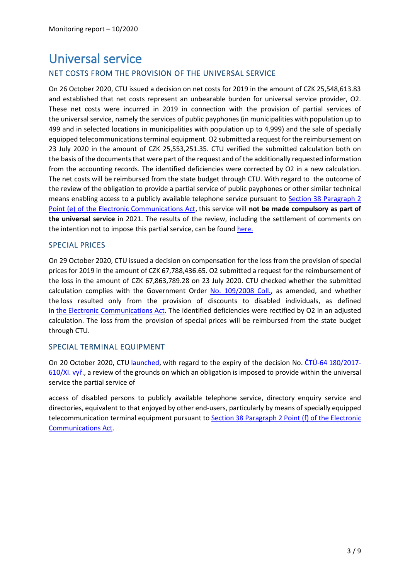# Universal service NET COSTS FROM THE PROVISION OF THE UNIVERSAL SERVICE

On 26 October 2020, CTU issued a decision on net costs for 2019 in the amount of CZK 25,548,613.83 and established that net costs represent an unbearable burden for universal service provider, O2. These net costs were incurred in 2019 in connection with the provision of partial services of the universal service, namely the services of public payphones (in municipalities with population up to 499 and in selected locations in municipalities with population up to 4,999) and the sale of specially equipped telecommunications terminal equipment. O2 submitted a request for the reimbursement on 23 July 2020 in the amount of CZK 25,553,251.35. CTU verified the submitted calculation both on the basis of the documents that were part of the request and of the additionally requested information from the accounting records. The identified deficiencies were corrected by O2 in a new calculation. The net costs will be reimbursed from the state budget through CTU. With regard to the outcome of the review of the obligation to provide a partial service of public payphones or other similar technical means enabling access to a publicly available telephone service pursuant to [Section 38](https://www.zakonyprolidi.cz/cs/2005-127#p38-2-e) Paragraph 2 Point (e) [of the Electronic Communications Act,](https://www.zakonyprolidi.cz/cs/2005-127#p38-2-e) this service will **not be made compulsory as part of the universal service** in 2021. The results of the review, including the settlement of comments on the intention not to impose this partial service, can be found [here.](https://www.ctu.cz/vyzva-k-uplatneni-pripominek-k-zameru-neulozit-v-ramci-univerzalni-sluzby-povinnost-poskytovat-dilci)

### SPECIAL PRICES

On 29 October 2020, CTU issued a decision on compensation for the loss from the provision of special prices for 2019 in the amount of CZK 67,788,436.65. O2 submitted a request for the reimbursement of the loss in the amount of CZK 67,863,789.28 on 23 July 2020. CTU checked whether the submitted calculation complies with the Government Order [No. 109/2008 Coll.,](https://www.zakonyprolidi.cz/cs/2008-109) as amended, and whether the loss resulted only from the provision of discounts to disabled individuals, as defined in the [Electronic Communications Act.](https://www.zakonyprolidi.cz/cs/2005-127) The identified deficiencies were rectified by O2 in an adjusted calculation. The loss from the provision of special prices will be reimbursed from the state budget through CTU.

## SPECIAL TERMINAL EQUIPMENT

On 20 October 2020, CTU [launched,](https://www.ctu.cz/sdeleni-o-zahajeni-prezkumu-duvodu-na-jejichz-zaklade-je-v-ramci-univerzalni-sluzby-ulozena-7) with regard to the expiry of the decision No.  $\text{\r{CTU-64 180/2017}}$ -[610/XI. vyř.](https://www.ctu.cz/sites/default/files/obsah/ctu/rozhodnuti-o-ulozeni-povinnosti-poskytovat-v-ramci-univerzalni-sluzby-dilci-sluzbu/obrazky/rozhodnutiskzfinal.pdf), a review of the grounds on which an obligation is imposed to provide within the universal service the partial service of

access of disabled persons to publicly available telephone service, directory enquiry service and directories, equivalent to that enjoyed by other end-users, particularly by means of specially equipped telecommunication terminal equipment pursuant to Section 38 Paragraph 2 Point (f) [of the Electronic](https://www.zakonyprolidi.cz/cs/2005-127#p38-2-f)  [Communications Act.](https://www.zakonyprolidi.cz/cs/2005-127#p38-2-f)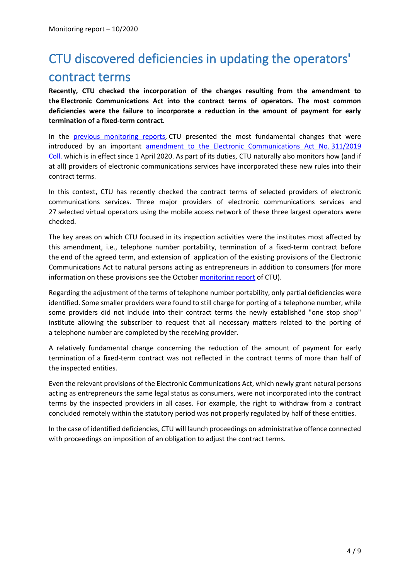# CTU discovered deficiencies in updating the operators' contract terms

**Recently, CTU checked the incorporation of the changes resulting from the amendment to the Electronic Communications Act into the contract terms of operators. The most common deficiencies were the failure to incorporate a reduction in the amount of payment for early termination of a fixed-term contract.**

In the [previous monitoring reports,](https://www.ctu.eu/sites/default/files/obsah/ctu/monthly-monitoring-report-no.12/2019/obrazky/mz2019-12en.pdf) CTU presented the most fundamental changes that were introduced by an important [amendment to the Electronic Communications Act No.](https://www.zakonyprolidi.cz/cs/2019-311) 311/2019 [Coll.](https://www.zakonyprolidi.cz/cs/2019-311) which is in effect since 1 April 2020. As part of its duties, CTU naturally also monitors how (and if at all) providers of electronic communications services have incorporated these new rules into their contract terms.

In this context, CTU has recently checked the contract terms of selected providers of electronic communications services. Three major providers of electronic communications services and 27 selected virtual operators using the mobile access network of these three largest operators were checked.

The key areas on which CTU focused in its inspection activities were the institutes most affected by this amendment, i.e., telephone number portability, termination of a fixed-term contract before the end of the agreed term, and extension of application of the existing provisions of the Electronic Communications Act to natural persons acting as entrepreneurs in addition to consumers (for more information on these provisions see the October [monitoring report](https://www.ctu.eu/sites/default/files/obsah/ctu/monthly-monitoring-report-no.10/2020/obrazky/mothlymonitoringreportno.102020.pdf) of CTU).

Regarding the adjustment of the terms of telephone number portability, only partial deficiencies were identified. Some smaller providers were found to still charge for porting of a telephone number, while some providers did not include into their contract terms the newly established "one stop shop" institute allowing the subscriber to request that all necessary matters related to the porting of a telephone number are completed by the receiving provider.

A relatively fundamental change concerning the reduction of the amount of payment for early termination of a fixed-term contract was not reflected in the contract terms of more than half of the inspected entities.

Even the relevant provisions of the Electronic Communications Act, which newly grant natural persons acting as entrepreneurs the same legal status as consumers, were not incorporated into the contract terms by the inspected providers in all cases. For example, the right to withdraw from a contract concluded remotely within the statutory period was not properly regulated by half of these entities.

In the case of identified deficiencies, CTU will launch proceedings on administrative offence connected with proceedings on imposition of an obligation to adjust the contract terms.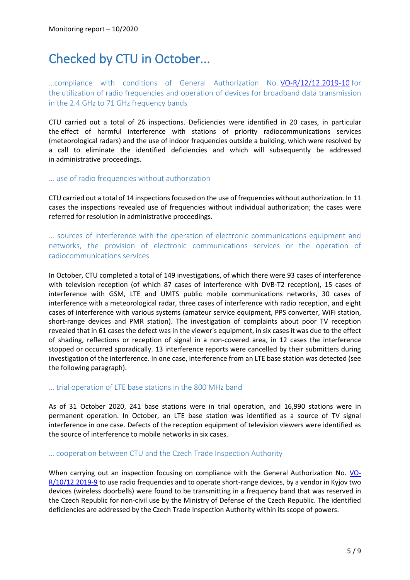# Checked by CTU in October...

…compliance with conditions of General Authorization No. [VO-R/12/12.2019-10](https://www.ctu.eu/sites/default/files/obsah/ctu/general-authorisation-no.vo-r/12/12.2019-10/obrazky/vo-r-12-122019-10en.pdf) for the utilization of radio frequencies and operation of devices for broadband data transmission in the 2.4 GHz to 71 GHz frequency bands

CTU carried out a total of 26 inspections. Deficiencies were identified in 20 cases, in particular the effect of harmful interference with stations of priority radiocommunications services (meteorological radars) and the use of indoor frequencies outside a building, which were resolved by a call to eliminate the identified deficiencies and which will subsequently be addressed in administrative proceedings.

#### … use of radio frequencies without authorization

CTU carried out a total of 14 inspections focused on the use of frequencies without authorization. In 11 cases the inspections revealed use of frequencies without individual authorization; the cases were referred for resolution in administrative proceedings.

… sources of interference with the operation of electronic communications equipment and networks, the provision of electronic communications services or the operation of radiocommunications services

In October, CTU completed a total of 149 investigations, of which there were 93 cases of interference with television reception (of which 87 cases of interference with DVB-T2 reception), 15 cases of interference with GSM, LTE and UMTS public mobile communications networks, 30 cases of interference with a meteorological radar, three cases of interference with radio reception, and eight cases of interference with various systems (amateur service equipment, PPS converter, WiFi station, short-range devices and PMR station). The investigation of complaints about poor TV reception revealed that in 61 cases the defect was in the viewer's equipment, in six cases it was due to the effect of shading, reflections or reception of signal in a non-covered area, in 12 cases the interference stopped or occurred sporadically. 13 interference reports were cancelled by their submitters during investigation of the interference. In one case, interference from an LTE base station was detected (see the following paragraph).

#### … trial operation of LTE base stations in the 800 MHz band

As of 31 October 2020, 241 base stations were in trial operation, and 16,990 stations were in permanent operation. In October, an LTE base station was identified as a source of TV signal interference in one case. Defects of the reception equipment of television viewers were identified as the source of interference to mobile networks in six cases.

#### … cooperation between CTU and the Czech Trade Inspection Authority

When carrying out an inspection focusing on compliance with the General Authorization No. [VO-](https://www.ctu.eu/sites/default/files/obsah/ctu/vseobecne-opravneni-c.vo-r/10/12.2019-9/obrazky/vo-r10-122019-9_en.pdf)[R/10/12.2019-9](https://www.ctu.eu/sites/default/files/obsah/ctu/vseobecne-opravneni-c.vo-r/10/12.2019-9/obrazky/vo-r10-122019-9_en.pdf) to use radio frequencies and to operate short-range devices, by a vendor in Kyjov two devices (wireless doorbells) were found to be transmitting in a frequency band that was reserved in the Czech Republic for non-civil use by the Ministry of Defense of the Czech Republic. The identified deficiencies are addressed by the Czech Trade Inspection Authority within its scope of powers.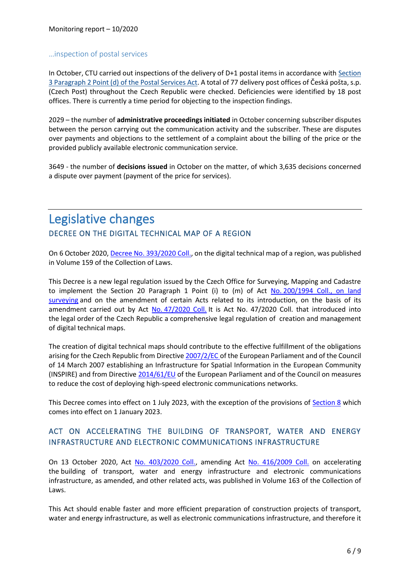#### …inspection of postal services

In October, CTU carried out inspections of the delivery of D+1 postal items in accordance with [Section](https://www.zakonyprolidi.cz/cs/2000-29#p3-2-d)  3 Paragraph 2 Point (d) [of the Postal Services Act.](https://www.zakonyprolidi.cz/cs/2000-29#p3-2-d) A total of 77 delivery post offices of Česká pošta, s.p. (Czech Post) throughout the Czech Republic were checked. Deficiencies were identified by 18 post offices. There is currently a time period for objecting to the inspection findings.

2029 – the number of **administrative proceedings initiated** in October concerning subscriber disputes between the person carrying out the communication activity and the subscriber. These are disputes over payments and objections to the settlement of a complaint about the billing of the price or the provided publicly available electronic communication service.

3649 - the number of **decisions issued** in October on the matter, of which 3,635 decisions concerned a dispute over payment (payment of the price for services).

## Legislative changes DECREE ON THE DIGITAL TECHNICAL MAP OF A REGION

On 6 October 2020[, Decree No. 393/2020 Coll.,](https://www.zakonyprolidi.cz/cs/2020-393) on the digital technical map of a region, was published in Volume 159 of the Collection of Laws.

This Decree is a new legal regulation issued by the Czech Office for Surveying, Mapping and Cadastre to implement the Section 20 Paragraph 1 Point (i) to (m) of Act No. 200/1994 Coll., on land [surveying](https://www.zakonyprolidi.cz/cs/1994-200) and on the amendment of certain Acts related to its introduction, on the basis of its amendment carried out by Act No. [47/2020 Coll.](https://www.zakonyprolidi.cz/cs/2020-47) It is Act No. 47/2020 Coll. that introduced into the legal order of the Czech Republic a comprehensive legal regulation of creation and management of digital technical maps.

The creation of digital technical maps should contribute to the effective fulfillment of the obligations arising for the Czech Republic from Directiv[e 2007/2/EC](https://eur-lex.europa.eu/legal-content/EN/TXT/PDF/?uri=CELEX:32007L0002&from=EN) of the European Parliament and of the Council of 14 March 2007 establishing an Infrastructure for Spatial Information in the European Community (INSPIRE) and from Directiv[e 2014/61/EU](https://eur-lex.europa.eu/legal-content/EN/TXT/PDF/?uri=CELEX:32014L0061&from=CS) of the European Parliament and of the Council on measures to reduce the cost of deploying high-speed electronic communications networks.

This Decree comes into effect on 1 July 2023, with the exception of the provisions of **Section 8** which comes into effect on 1 January 2023.

## ACT ON ACCELERATING THE BUILDING OF TRANSPORT, WATER AND ENERGY INFRASTRUCTURE AND ELECTRONIC COMMUNICATIONS INFRASTRUCTURE

On 13 October 2020, Act [No. 403/2020 Coll.,](https://www.zakonyprolidi.cz/cs/2020-403) amending Act [No. 416/2009 Coll.](https://www.zakonyprolidi.cz/cs/2009-416) on accelerating the building of transport, water and energy infrastructure and electronic communications infrastructure, as amended, and other related acts, was published in Volume 163 of the Collection of Laws.

This Act should enable faster and more efficient preparation of construction projects of transport, water and energy infrastructure, as well as electronic communications infrastructure, and therefore it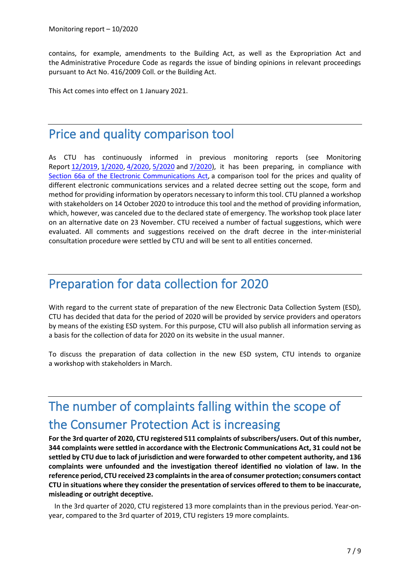contains, for example, amendments to the Building Act, as well as the Expropriation Act and the Administrative Procedure Code as regards the issue of binding opinions in relevant proceedings pursuant to Act No. 416/2009 Coll. or the Building Act.

This Act comes into effect on 1 January 2021.

# Price and quality comparison tool

As CTU has continuously informed in previous monitoring reports (see Monitoring Report [12/2019,](https://www.ctu.eu/sites/default/files/obsah/ctu/monthly-monitoring-report-no.12/2019/obrazky/mz2019-12en.pdf) [1/2020,](https://www.ctu.eu/sites/default/files/obsah/ctu/monthly-monitoring-report-no.01/2020/obrazky/monitoringreport012020.pdf) [4/2020,](https://www.ctu.eu/sites/default/files/obsah/ctu/monthly-monitoring-report-no.04/2020/obrazky/mz2020-4en.pdf) [5/2020](https://www.ctu.eu/sites/default/files/obsah/ctu/monthly-monitoring-report-no.05/2020/obrazky/20-1436mz2020-05finen.pdf) and [7/2020\)](https://www.ctu.eu/sites/default/files/obsah/ctu/monitorovaci-zprava-c.7/2020/obrazky/mz_2020-07_en.pdf), it has been preparing, in compliance with [Section 66a of the Electronic Communications Act,](https://www.zakonyprolidi.cz/cs/2005-127#p66a) a comparison tool for the prices and quality of different electronic communications services and a related decree setting out the scope, form and method for providing information by operators necessary to inform this tool. CTU planned a workshop with stakeholders on 14 October 2020 to introduce this tool and the method of providing information, which, however, was canceled due to the declared state of emergency. The workshop took place later on an alternative date on 23 November. CTU received a number of factual suggestions, which were evaluated. All comments and suggestions received on the draft decree in the inter-ministerial consultation procedure were settled by CTU and will be sent to all entities concerned.

# Preparation for data collection for 2020

With regard to the current state of preparation of the new Electronic Data Collection System (ESD), CTU has decided that data for the period of 2020 will be provided by service providers and operators by means of the existing ESD system. For this purpose, CTU will also publish all information serving as a basis for the collection of data for 2020 on its website in the usual manner.

To discuss the preparation of data collection in the new ESD system, CTU intends to organize a workshop with stakeholders in March.

# The number of complaints falling within the scope of the Consumer Protection Act is increasing

**For the 3rd quarter of 2020, CTU registered 511 complaints of subscribers/users. Out of this number, 344 complaints were settled in accordance with the Electronic Communications Act, 31 could not be settled by CTU due to lack of jurisdiction and were forwarded to other competent authority, and 136 complaints were unfounded and the investigation thereof identified no violation of law. In the reference period, CTU received 23 complaints in the area of consumer protection; consumers contact CTU in situations where they consider the presentation of services offered to them to be inaccurate, misleading or outright deceptive.**

In the 3rd quarter of 2020, CTU registered 13 more complaints than in the previous period. Year-onyear, compared to the 3rd quarter of 2019, CTU registers 19 more complaints.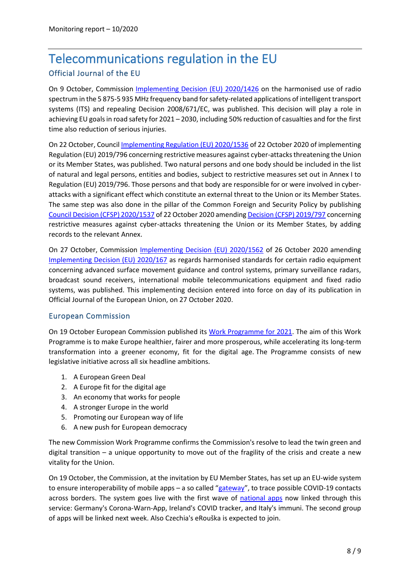# Telecommunications regulation in the EU Official Journal of the EU

On 9 October, Commission [Implementing Decision \(EU\) 2020/1426](https://eur-lex.europa.eu/legal-content/EN/TXT/PDF/?uri=CELEX:32020D1426&from=EN) on the harmonised use of radio spectrum in the 5 875-5 935 MHz frequency band for safety-related applications of intelligent transport systems (ITS) and repealing Decision 2008/671/EC, was published. This decision will play a role in achieving EU goals in road safety for 2021 – 2030, including 50% reduction of casualties and for the first time also reduction of serious injuries.

On 22 October, Council [Implementing Regulation \(EU\) 2020/1536](https://eur-lex.europa.eu/legal-content/EN/TXT/PDF/?uri=CELEX:32020R1536&from=EN) of 22 October 2020 of implementing Regulation (EU) 2019/796 concerning restrictive measures against cyber-attacks threatening the Union or its Member States, was published. Two natural persons and one body should be included in the list of natural and legal persons, entities and bodies, subject to restrictive measures set out in Annex I to Regulation (EU) 2019/796. Those persons and that body are responsible for or were involved in cyberattacks with a significant effect which constitute an external threat to the Union or its Member States. The same step was also done in the pillar of the Common Foreign and Security Policy by publishing [Council Decision \(CFSP\) 2020/1537](https://eur-lex.europa.eu/legal-content/EN/TXT/PDF/?uri=CELEX:32020D1537&from=EN) of 22 October 2020 amending [Decision \(CFSP\) 2019/797](https://eur-lex.europa.eu/legal-content/EN/TXT/PDF/?uri=CELEX:32019D0797&from=GA) concerning restrictive measures against cyber-attacks threatening the Union or its Member States, by adding records to the relevant Annex.

On 27 October, Commission [Implementing Decision \(EU\) 2020/1562](https://eur-lex.europa.eu/legal-content/EN/TXT/PDF/?uri=CELEX:32020D1562&from=EN) of 26 October 2020 amending [Implementing Decision \(EU\) 2020/167](https://eur-lex.europa.eu/legal-content/EN/TXT/PDF/?uri=CELEX:32020D0167&from=EN) as regards harmonised standards for certain radio equipment concerning advanced surface movement guidance and control systems, primary surveillance radars, broadcast sound receivers, international mobile telecommunications equipment and fixed radio systems, was published. This implementing decision entered into force on day of its publication in Official Journal of the European Union, on 27 October 2020.

### European Commission

On 19 October European Commission published its [Work Programme for 2021.](https://ec.europa.eu/info/publications/2021-commission-work-programme-key-documents_cs) The aim of this Work Programme is to make Europe healthier, fairer and more prosperous, while accelerating its long-term transformation into a greener economy, fit for the digital age. The Programme consists of new legislative initiative across all six headline ambitions.

- 1. A European Green Deal
- 2. A Europe fit for the digital age
- 3. An economy that works for people
- 4. A stronger Europe in the world
- 5. Promoting our European way of life
- 6. A new push for European democracy

The new Commission Work Programme confirms the Commission's resolve to lead the twin green and digital transition – a unique opportunity to move out of the fragility of the crisis and create a new vitality for the Union.

On 19 October, the Commission, at the invitation by EU Member States, has set up an EU-wide system to ensure interoperability of mobile apps – a so called "[gateway](https://ec.europa.eu/commission/presscorner/detail/en/ip_20_1904)", to trace possible COVID-19 contacts across borders. The system goes live with the first wave of [national apps](https://ec.europa.eu/commission/presscorner/detail/en/ip_20_1904) now linked through this service: Germany's Corona-Warn-App, Ireland's COVID tracker, and Italy's immuni. The second group of apps will be linked next week. Also Czechia's eRouška is expected to join.